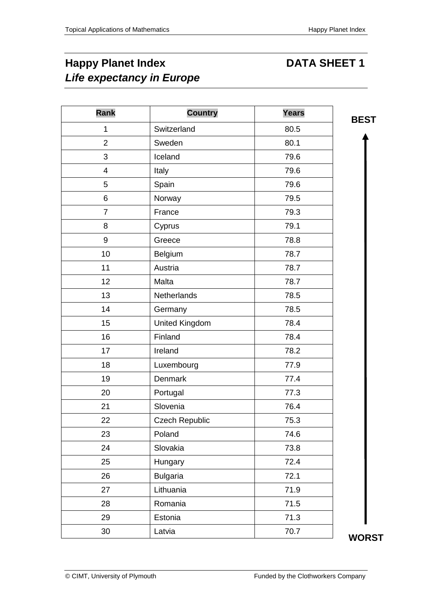# **Happy Planet Index DATA SHEET 1** *Life expectancy in Europe*

| <b>Rank</b>      | <b>Country</b>        | <b>Years</b> | <b>BEST</b> |
|------------------|-----------------------|--------------|-------------|
| $\mathbf 1$      | Switzerland           | 80.5         |             |
| $\overline{2}$   | Sweden                | 80.1         |             |
| $\mathbf{3}$     | Iceland               | 79.6         |             |
| $\overline{4}$   | Italy                 | 79.6         |             |
| 5                | Spain                 | 79.6         |             |
| $\,6$            | Norway                | 79.5         |             |
| $\overline{7}$   | France                | 79.3         |             |
| 8                | Cyprus                | 79.1         |             |
| $\boldsymbol{9}$ | Greece                | 78.8         |             |
| 10               | Belgium               | 78.7         |             |
| 11               | Austria               | 78.7         |             |
| 12               | Malta                 | 78.7         |             |
| 13               | Netherlands           | 78.5         |             |
| 14               | Germany               | 78.5         |             |
| 15               | United Kingdom        | 78.4         |             |
| 16               | Finland               | 78.4         |             |
| 17               | Ireland               | 78.2         |             |
| 18               | Luxembourg            | 77.9         |             |
| 19               | <b>Denmark</b>        | 77.4         |             |
| 20               | Portugal              | 77.3         |             |
| 21               | Slovenia              | 76.4         |             |
| 22               | <b>Czech Republic</b> | 75.3         |             |
| 23               | Poland                | 74.6         |             |
| 24               | Slovakia              | 73.8         |             |
| 25               | Hungary               | 72.4         |             |
| 26               | <b>Bulgaria</b>       | 72.1         |             |
| 27               | Lithuania             | 71.9         |             |
| 28               | Romania               | 71.5         |             |
| 29               | Estonia               | 71.3         |             |
| 30               | Latvia                | 70.7         | <b>WORS</b> |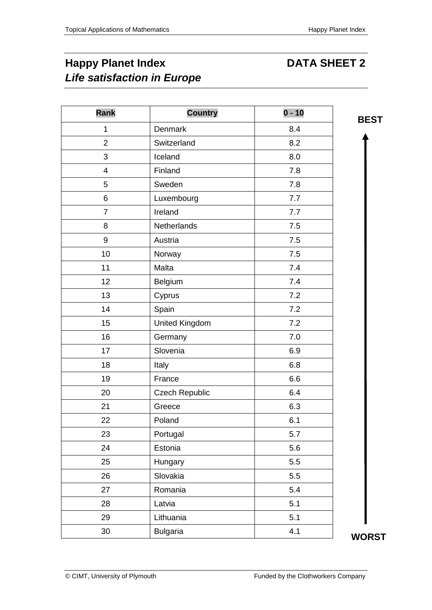**BEST**

## **Happy Planet Index DATA SHEET 2** *Life satisfaction in Europe*

| <b>Rank</b>              | <b>Country</b>        | $0 - 10$ |
|--------------------------|-----------------------|----------|
| 1                        | Denmark               | 8.4      |
| $\overline{2}$           | Switzerland           | 8.2      |
| 3                        | Iceland               | 8.0      |
| $\overline{\mathcal{A}}$ | Finland               | 7.8      |
| 5                        | Sweden                | 7.8      |
| 6                        | Luxembourg            | 7.7      |
| $\overline{7}$           | Ireland               | 7.7      |
| 8                        | Netherlands           | 7.5      |
| 9                        | Austria               | 7.5      |
| 10                       | Norway                | 7.5      |
| 11                       | Malta                 | 7.4      |
| 12                       | Belgium               | 7.4      |
| 13                       | Cyprus                | 7.2      |
| 14                       | Spain                 | 7.2      |
| 15                       | <b>United Kingdom</b> | 7.2      |
| 16                       | Germany               | 7.0      |
| 17                       | Slovenia              | 6.9      |
| 18                       | Italy                 | 6.8      |
| 19                       | France                | 6.6      |
| 20                       | <b>Czech Republic</b> | 6.4      |
| 21                       | Greece                | 6.3      |
| 22                       | Poland                | 6.1      |
| 23                       | Portugal              | 5.7      |
| 24                       | Estonia               | 5.6      |
| 25                       | Hungary               | 5.5      |
| 26                       | Slovakia              | 5.5      |
| 27                       | Romania               | 5.4      |
| 28                       | Latvia                | 5.1      |
| 29                       | Lithuania             | 5.1      |
| 30                       | <b>Bulgaria</b>       | 4.1      |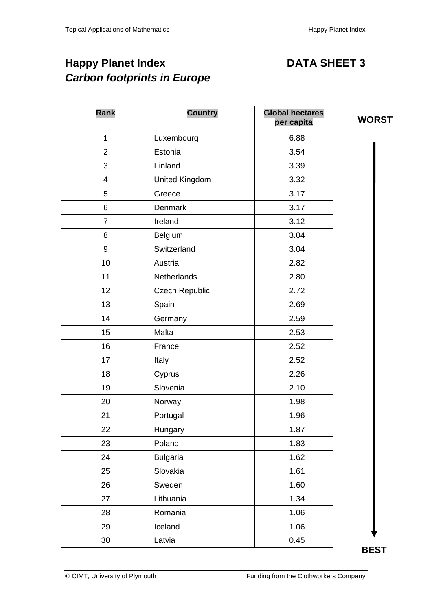**WORST**

## **Happy Planet Index DATA SHEET 3** *Carbon footprints in Europe*

| 1<br>Luxembourg<br>$\overline{2}$<br>Estonia | 6.88<br>3.54<br>3.39 |
|----------------------------------------------|----------------------|
|                                              |                      |
|                                              |                      |
| 3<br>Finland                                 |                      |
| United Kingdom<br>4                          | 3.32                 |
| 5<br>Greece                                  | 3.17                 |
| 6<br>Denmark                                 | 3.17                 |
| $\overline{7}$<br>Ireland                    | 3.12                 |
| Belgium<br>8                                 | 3.04                 |
| Switzerland<br>9                             | 3.04                 |
| 10<br>Austria                                | 2.82                 |
| 11<br>Netherlands                            | 2.80                 |
| 12<br><b>Czech Republic</b>                  | 2.72                 |
| 13<br>Spain                                  | 2.69                 |
| 14<br>Germany                                | 2.59                 |
| 15<br>Malta                                  | 2.53                 |
| 16<br>France                                 | 2.52                 |
| 17<br>Italy                                  | 2.52                 |
| 18<br>Cyprus                                 | 2.26                 |
| 19<br>Slovenia                               | 2.10                 |
| 20<br>Norway                                 | 1.98                 |
| Portugal<br>21                               | 1.96                 |
| 22<br>Hungary                                | 1.87                 |
| 23<br>Poland                                 | 1.83                 |
| 24<br><b>Bulgaria</b>                        | 1.62                 |
| Slovakia<br>25                               | 1.61                 |
| Sweden<br>26                                 | 1.60                 |
| Lithuania<br>27                              | 1.34                 |
| Romania<br>28                                | 1.06                 |
| 29<br>Iceland                                | 1.06                 |
| 30<br>Latvia                                 | 0.45                 |

**BEST**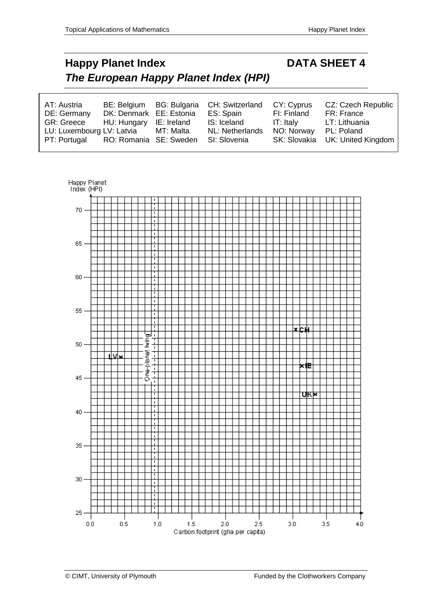# **Happy Planet Index DATA SHEET 4** *The European Happy Planet Index (HPI)*

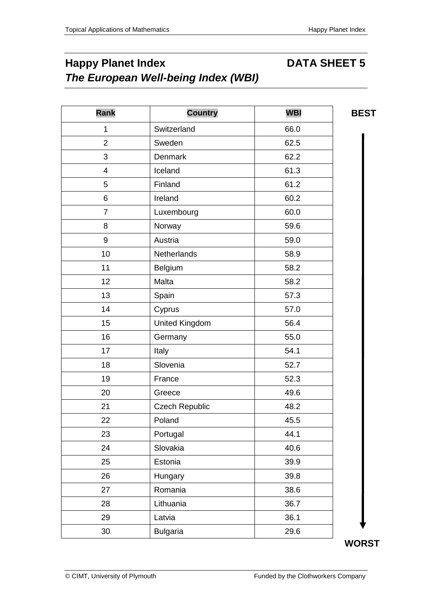### **Happy Planet Index CONTER SHEET 5** *The European Well-being Index (WBI)*

| Rank                    | <b>Country</b>        | <b>WBI</b> | <b>BES</b> |
|-------------------------|-----------------------|------------|------------|
| 1                       | Switzerland           | 66.0       |            |
| $\overline{2}$          | Sweden                | 62.5       |            |
| 3                       | <b>Denmark</b>        | 62.2       |            |
| $\overline{\mathbf{4}}$ | Iceland               | 61.3       |            |
| 5                       | Finland               | 61.2       |            |
| 6                       | Ireland               | 60.2       |            |
| $\overline{7}$          | Luxembourg            | 60.0       |            |
| 8                       | Norway                | 59.6       |            |
| 9                       | Austria               | 59.0       |            |
| 10                      | Netherlands           | 58.9       |            |
| 11                      | Belgium               | 58.2       |            |
| 12                      | Malta                 | 58.2       |            |
| 13                      | Spain                 | 57.3       |            |
| 14                      | Cyprus                | 57.0       |            |
| 15                      | United Kingdom        | 56.4       |            |
| 16                      | Germany               | 55.0       |            |
| 17                      | Italy                 | 54.1       |            |
| 18                      | Slovenia              | 52.7       |            |
| 19                      | France                | 52.3       |            |
| 20                      | Greece                | 49.6       |            |
| 21                      | <b>Czech Republic</b> | 48.2       |            |
| 22                      | Poland                | 45.5       |            |
| 23                      | Portugal              | 44.1       |            |
| 24                      | Slovakia              | 40.6       |            |
| 25                      | Estonia               | 39.9       |            |
| 26                      | Hungary               | 39.8       |            |
| 27                      | Romania               | 38.6       |            |
| 28                      | Lithuania             | 36.7       |            |
| 29                      | Latvia                | 36.1       |            |
| 30                      | <b>Bulgaria</b>       | 29.6       |            |

**BEST**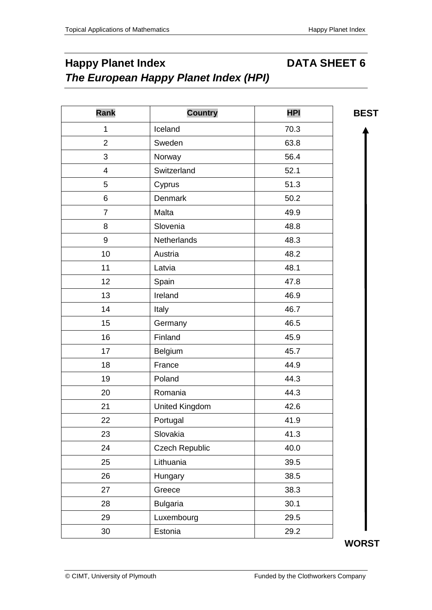## **Happy Planet Index CONTER SHEET 6**

*The European Happy Planet Index (HPI)*

| Rank                    | <b>Country</b>        | <b>HPI</b> | <b>BEST</b> |
|-------------------------|-----------------------|------------|-------------|
| $\mathbf{1}$            | Iceland               | 70.3       |             |
| $\overline{2}$          | Sweden                | 63.8       |             |
| 3                       | Norway                | 56.4       |             |
| $\overline{\mathbf{4}}$ | Switzerland           | 52.1       |             |
| 5                       | Cyprus                | 51.3       |             |
| 6                       | <b>Denmark</b>        | 50.2       |             |
| $\overline{7}$          | Malta                 | 49.9       |             |
| 8                       | Slovenia              | 48.8       |             |
| 9                       | Netherlands           | 48.3       |             |
| 10                      | Austria               | 48.2       |             |
| 11                      | Latvia                | 48.1       |             |
| 12                      | Spain                 | 47.8       |             |
| 13                      | Ireland               | 46.9       |             |
| 14                      | Italy                 | 46.7       |             |
| 15                      | Germany               | 46.5       |             |
| 16                      | Finland               | 45.9       |             |
| 17                      | Belgium               | 45.7       |             |
| 18                      | France                | 44.9       |             |
| 19                      | Poland                | 44.3       |             |
| 20                      | Romania               | 44.3       |             |
| 21                      | <b>United Kingdom</b> | 42.6       |             |
| 22                      | Portugal              | 41.9       |             |
| 23                      | Slovakia              | 41.3       |             |
| 24                      | <b>Czech Republic</b> | 40.0       |             |
| 25                      | Lithuania             | 39.5       |             |
| 26                      | Hungary               | 38.5       |             |
| 27                      | Greece                | 38.3       |             |
| 28                      | <b>Bulgaria</b>       | 30.1       |             |
| 29                      | Luxembourg            | 29.5       |             |
| 30                      | Estonia               | 29.2       |             |